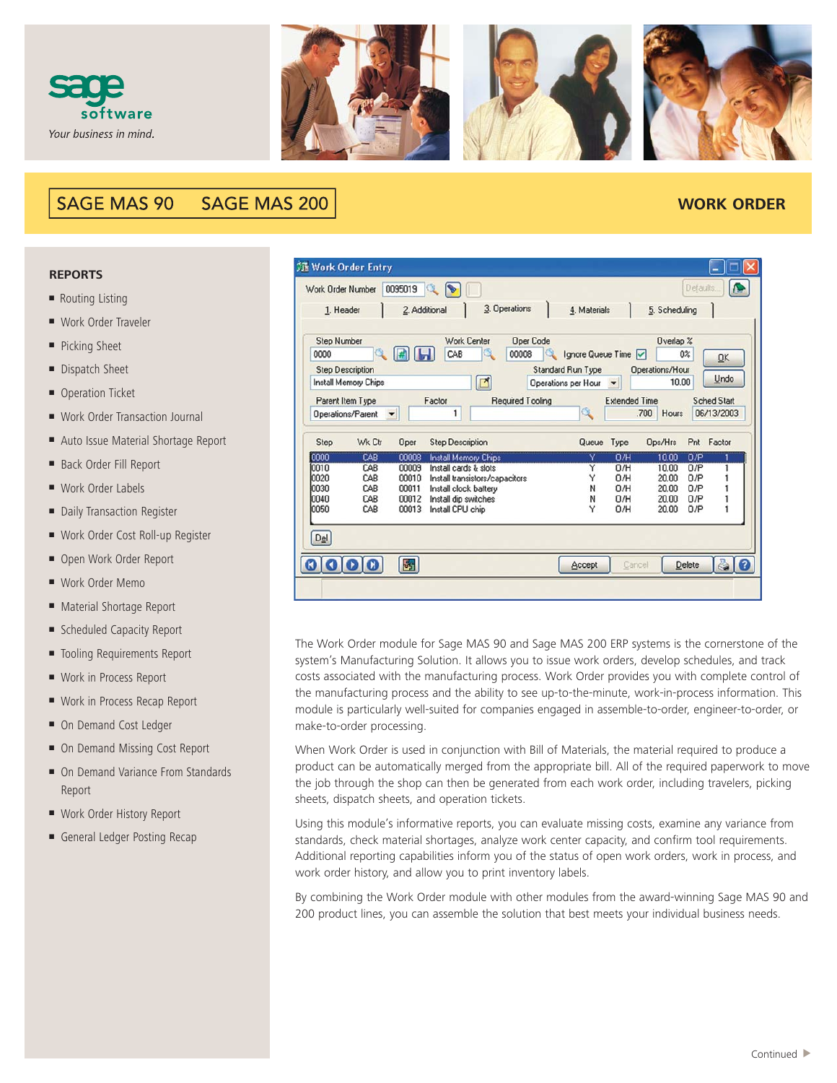



#### **SAGE MAS 90 SAGE MAS 200**

## **WORK ORDER**

#### **REPORTS**

- Routing Listing
- Work Order Traveler
- Picking Sheet
- Dispatch Sheet
- Operation Ticket
- Work Order Transaction Journal
- Auto Issue Material Shortage Report
- Back Order Fill Report
- Work Order Labels
- Daily Transaction Register
- Work Order Cost Roll-up Register
- Open Work Order Report
- Work Order Memo
- Material Shortage Report
- Scheduled Capacity Report
- Tooling Requirements Report
- Work in Process Report
- Work in Process Recap Report
- On Demand Cost Ledger
- On Demand Missing Cost Report
- On Demand Variance From Standards Report
- Work Order History Report
- General Ledger Posting Recap

| 頭 Work Order Entry                                                            |                      |               |                                |   |                           |                                                                      |                      |                                       |          |                                  |
|-------------------------------------------------------------------------------|----------------------|---------------|--------------------------------|---|---------------------------|----------------------------------------------------------------------|----------------------|---------------------------------------|----------|----------------------------------|
| Work Order Number                                                             |                      | 0095019       |                                |   |                           |                                                                      |                      |                                       | Defaults |                                  |
| 1. Header                                                                     |                      | 2. Additional |                                |   | 3. Operations             | 4. Materials                                                         |                      | 5. Scheduling                         |          |                                  |
| <b>Step Number</b><br>0000<br><b>Step Description</b><br>Install Memory Chips | Q                    |               | <b>Work Center</b><br>CAB      | ⊡ | <b>Oper Code</b><br>00008 | Ignore Queue Time<br><b>Standard Run Type</b><br>Operations per Hour | ▼                    | Overlap %<br>Operations/Hour<br>10.00 | 0%       | OK<br>Undo                       |
| Parent Item Type<br>Operations/Parent                                         | $\blacktriangledown$ |               | Factor<br>1                    |   | Required Tooling          | Q                                                                    | <b>Extended Time</b> | .700<br>Hours                         |          | <b>Sched Start</b><br>06/13/2003 |
| Step                                                                          | Wk Ctr               | Oper          | <b>Step Description</b>        |   |                           | Queue                                                                | Type                 | Ops/Hrs                               |          | Pnt Factor                       |
| 0000                                                                          | CAB                  | 00008         | Install Memory Chips           |   |                           |                                                                      | 0/H                  | 10.00                                 | 0/P      |                                  |
| 0010                                                                          | CAB                  | 00009         | Install cards & slots          |   |                           | Y                                                                    | 0/H                  | 10.00                                 | 0/P      |                                  |
| 0020                                                                          | CAB                  | 00010         | Install transistors/capacitors |   |                           | Y                                                                    | 0/H                  | 20.00                                 | 0/P      |                                  |
| 10030                                                                         | CAB                  | 00011         | Install clock battery          |   |                           | N                                                                    | 0/H                  | 20.00                                 | 0/P      |                                  |
| 0040                                                                          | CAB                  | 00012         | Install dip switches           |   |                           | N                                                                    | 0/H                  | 20.00                                 | 0/P      |                                  |
| 0050                                                                          | CAB                  | 00013         | Install CPU chip               |   |                           | Υ                                                                    | 0/H                  | 20.00                                 | 0/P      |                                  |
|                                                                               |                      |               |                                |   |                           |                                                                      |                      |                                       |          |                                  |

The Work Order module for Sage MAS 90 and Sage MAS 200 ERP systems is the cornerstone of the system's Manufacturing Solution. It allows you to issue work orders, develop schedules, and track costs associated with the manufacturing process. Work Order provides you with complete control of the manufacturing process and the ability to see up-to-the-minute, work-in-process information. This module is particularly well-suited for companies engaged in assemble-to-order, engineer-to-order, or make-to-order processing.

When Work Order is used in conjunction with Bill of Materials, the material required to produce a product can be automatically merged from the appropriate bill. All of the required paperwork to move the job through the shop can then be generated from each work order, including travelers, picking sheets, dispatch sheets, and operation tickets.

Using this module's informative reports, you can evaluate missing costs, examine any variance from standards, check material shortages, analyze work center capacity, and confirm tool requirements. Additional reporting capabilities inform you of the status of open work orders, work in process, and work order history, and allow you to print inventory labels.

By combining the Work Order module with other modules from the award-winning Sage MAS 90 and 200 product lines, you can assemble the solution that best meets your individual business needs.